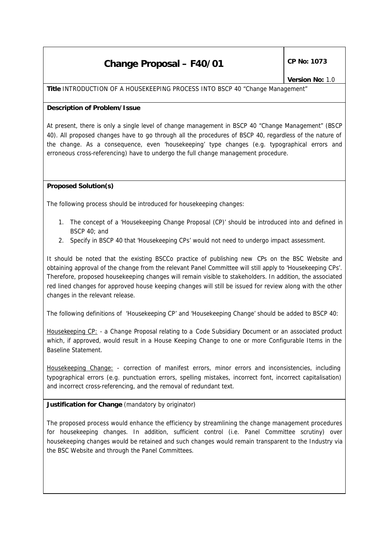## **Change Proposal – F40/01**  $\left|\begin{array}{cc} \text{CP No: } 1073 \end{array}\right|$

**Title** INTRODUCTION OF A HOUSEKEEPING PROCESS INTO BSCP 40 "Change Management"

## **Description of Problem/Issue**

At present, there is only a single level of change management in BSCP 40 "Change Management" (BSCP 40). All proposed changes have to go through all the procedures of BSCP 40, regardless of the nature of the change. As a consequence, even 'housekeeping' type changes (e.g. typographical errors and erroneous cross-referencing) have to undergo the full change management procedure.

## **Proposed Solution(s)**

The following process should be introduced for housekeeping changes:

- 1. The concept of a 'Housekeeping Change Proposal (CP)' should be introduced into and defined in BSCP 40; and
- 2. Specify in BSCP 40 that 'Housekeeping CPs' would not need to undergo impact assessment.

It should be noted that the existing BSCCo practice of publishing new CPs on the BSC Website and obtaining approval of the change from the relevant Panel Committee will still apply to 'Housekeeping CPs'. Therefore, proposed housekeeping changes will remain visible to stakeholders. In addition, the associated red lined changes for approved house keeping changes will still be issued for review along with the other changes in the relevant release.

The following definitions of 'Housekeeping CP' and 'Housekeeping Change' should be added to BSCP 40:

Housekeeping CP: - a Change Proposal relating to a Code Subsidiary Document or an associated product which, if approved, would result in a House Keeping Change to one or more Configurable Items in the Baseline Statement.

Housekeeping Change: - correction of manifest errors, minor errors and inconsistencies, including typographical errors (e.g. punctuation errors, spelling mistakes, incorrect font, incorrect capitalisation) and incorrect cross-referencing, and the removal of redundant text.

**Justification for Change** *(mandatory by originator)*

The proposed process would enhance the efficiency by streamlining the change management procedures for housekeeping changes. In addition, sufficient control (i.e. Panel Committee scrutiny) over housekeeping changes would be retained and such changes would remain transparent to the Industry via the BSC Website and through the Panel Committees.